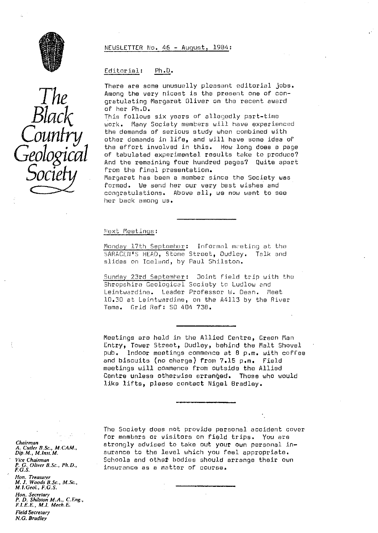### NEWSLETTER No. 46 - August, 1984 :

### Editorial: Ph.D.

There are some unusually pleasant editorial jobs. *Ji* Among the very nicest is the present one of congratulating Margaret Oliver on the recent award<br>of her Ph.D.

This follows six years of allegedly part-time Many Society members will have experienced the demands of serious study when combined with other demands in life, and will have some idea of the effort involved in this. How long does a page of tabulated experimental results take to produce? And the remaining <mark>four hundred pages? Quite</mark> apart<br>from the final presentation.

**Society** from the final presentation.<br>Margaret has been a member since the Society was formed. We send her our very best wishes and congratulations. Above all, we now want to see her back among us.

#### Next Meetings:

Monday 17th September: Informal meeting at the SARACEN'S HEAD, Stone Street, Dudley. Talk and slides on Iceland, by Paul Shilston.

Sunday 23rd September: Joint field trip with the Shropshire Geological Society to Ludlow and Leintwardine. Leader Professor W. Dean. Meet 10.30 at Leintwardine, on the A4113 by the River Tome. Grid Ref: SO 4041 738.

Meetings are held in the Allied Centre, Green flan Entry, Tower Street, Dudley, behind the Malt Shovel pub. Indoor meetings commence at 8 p.m. with coffee and biscuits (no charge) from 7.15 p.m. Field meetings will commence from outside the Allied Centre unless otherwise arranged. Those who would like lifts, please contact Nigel Bradley.

The Society does not provide personal accident cover for members or visitors on field trips. You are strongly advised to take out your own personal insurance to the level which you feel appropriate. Schools and other bodies should arrange their own insurance as a matter of course.

*Chairman A, Cutler B.Sc., M.CAM., Dip. M., M.lnsr, M. Vice Chairman P. C. Oliver B. Sc., Ph.D., F.G.S. Hon. Treasurer M. J. Woods B. Sc., M. Sc.,* **M.1.Geol., F.G.S.** *Hon. Secretary P. D. Shilston M.A.,* C.Eng., *F. i. E, E., M.1, Mech, E.* **Field Secretary** N.G. Bradley

 $\frac{1}{\sqrt{1}}$ *Black* This f *Geological*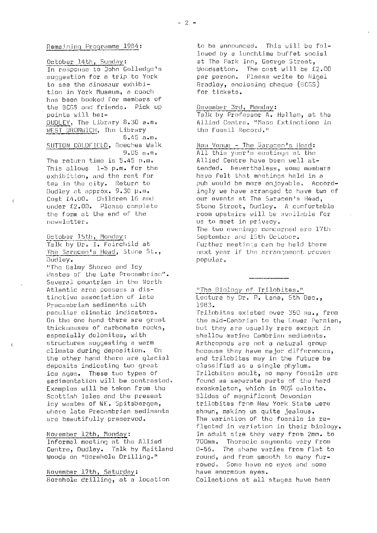October 14th, Sunday: In response to John Golledge's suggestion for a trip to York to see the dinosaur exhihition in York Museum, a coach has been hooked for members of the BCGS and friends. Pick up points will be:- DUDLEY, The Library 8.30 a.m. WEST BROMWICH, The Library 6.45 a.m. SUTTON COLDFIELD, Beeches Walk 9.55 a.m.

The return time is 5.45 p.m. This allows 1-5 p.m. for the exhibition, and the rest for tea in the city. Return to Dudley at approx. 9.30 p.m. Cost f4.00. Children 15 and under f2.00. Please complete the form at the end of the nowsletter.

October 15th, Monday: Talk by Dr. I. Fairchild at The Saracen's Head, Stone St., Dudley.

"The Balmy Shores and Icy bastes of the Late Precambrian". Several countries in the North Atlantic arcs possess a distinctive association of late Precambrian sediments with peculiar climatic indicators. On the one hand there are groat thicknesses of carbonate rocks, especially dolomites, with structures suggesting a warm climate during deposition. On the other hand there are glacial deposits indicating two great ice ages. These two types of sedimentation will be contrasted. Examples will he taken from the Scottish Isles and the present icy wastes of NE. Spitsbergen, where late Precambrian sediments are beautifully preserved.

November 12th, Monday:

 $\overline{1}$ 

Informal meeting at the Allied Centre, Dudley. Talk by Maitland Woods on "Borehole Drilling."

November 17th, Saturday: •Borehole drilling, at a location

to be announced. This will be followed by a lunchtime buffet social at The Park Inn, George Street, Woodsetton. The cost will be 52.00 per person. Please write to Nigel Aradley, enclosing cheque (BCGS) for tickets.

# Devember 3rd, Monday:

Talk by Professor A. Hallam, at the Allied Centre. "Mass Extinctions in tho Fossil Record."

New Unnue - The Saracen's Head : All this year's meetings at the Allied Centre have been well attended. Nevertheless, some members have felt that meetings held in a pub would be more enjoyable. Accordingly we have arranged to have two of our events at The Saracen's Head, Stone Street, Dudley. A comfortable room upstairs will be availsbie for us to meet in privacy. The two evenings concerned are 17th September and 15th October. Further meetings can be held there next year if the arrangement proves popular.

"The Biology of Trilobites." Lecture by Dr. P. Lane, 5th Dec., 198 J.

Trilobites existed over 350 ma., from the mid-Cambrian to the Lower Permian, but they are usually rare except in shallow marine Cambrian sediments. Arthropods are not a natural group hecause they have major differences, and trilobites may in the future be classified as a single phylum. Trilobites moult, so many fossils are found as separate parts of the hard exoskeleton, which is Po% calcite. Slides of magnificent Devonian trilobites from New York State were shown, making us quite jealous. The variation of the fossils is reflected in variation in their biology. In adult size they vary from 2mm. to 700mm. Thoracic segments vary from 0-56. The shape varies from flat to round, and from smooth to many furrowed. Some have no eyes and some have enormous eyes. Collections at all stages have been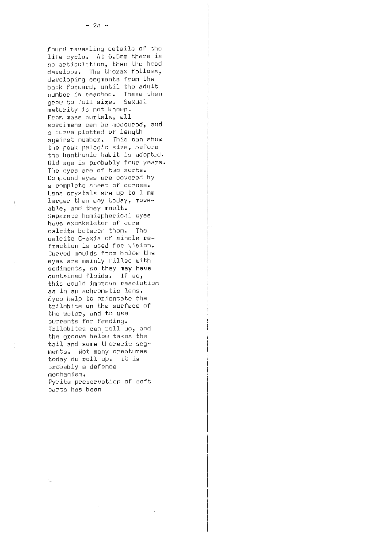found revealing details of tho life cycle. At 0.5mm there is no articulation, then the head develops. The thorax follows, developing segments from the back forward, until the adult number is reached. These then grow to full size. Sexual maturity is not known. From mass burials, all specimens can be measured, and a curve platted of length against number. This can show the peak pelagic size, before the benthonic habit is adoptod. Old age is probably four years. The eyes are of two sorts. Compound eyes are covered by a complete sheet of cornea. Lens crystals are up to 1 mm larger than any today, moveable, and they moult. Separate. hemispherical eyes have exoskeleton of pure calcite between them. The calcite C-axis of single refraction is used for vision. Curved moulds from below the eyes are mainly filled with sediments, so they hay have cantainad fluids. If so, this could improve resolution as in an achromatic lens. Eyes help to orientate the trilobite on the surface of the water, and to use currents for feeding. Trilobites can roll up, and the groove below takes the tail and some thoracic segments. Not many creatures today do roll up. It is probably a defence mechanism, Pyrite preservation of soft parts has been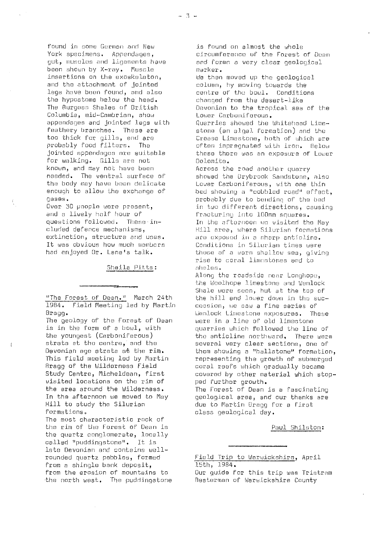found in some German and New York specimens. Appendages, gut, muscles and ligaments have been shown by X-ray. Muscle insertions on the exoskeleton, and the attachment of jointed legs have been found, and also the hypostome below the head. The Burgess Shales of British Columbia, mid-Cambrian, show appendages and jointed legs with feathery branches. These are too thick for gills, and are probably food filters. The jointed appendages are suitable for walking. Gills are, not known, and may not have been needed. The ventral surface of the body may have been delicate enough to allow the exchange of gases.

Over 30 people were present, and a lively half hour of questions followed. These inelr.ided defence mechanisms, extinction, structure and uses. It was obvious how much members had enjoyed Dr. Lane's talk.

Sheila Pitts:

"The Forest of Dean." March 24th 1984. Field Meeting led by Martin Bragg.

The geology of the Forest of Dean is in the form of a bowl, with the youngest (Carboniferous) strata at the centre, and the Devonian ago strata at the rim. This field meeting led by Martin Rragg of the Wilderness Field Study Centre, Micheldoan, first visited locations on the rim of the area around the Wilderness. In the afternoon we moved to May Hill to study the Silurian formations.

The most characteristic rack of the rim of the Forest of Dean is the quartz conglomerate, locally called "puddingstone". It is late Devonian and contains wellrounded quartz pehbles, formed from a shingle bank deposit, from the erosion of mountains to the north west. The puddingstone

is found on almost the whole circumference of the Forest of Dean and forms a very clear geological marker. be then moved up the geological column, by mowing towards the contra of the bowl. Conditions changed from the desert-like Devonian to the tropical sea of the Lower Carboniferous. Quarries showed the Whitehead Limestone (an algal formation) and the Crease Limestone, both of which are often impregnated with iron. Below these there was an exposure of Lower Dolomite. Across the road another quarry showed the Drybrook Sandstone, also Lower Carboniferous, with one thin bed showing a "cobbled road" effect, probably due to bonding of the bed in two different directions, causing fracturing into 100mm squares. In the afternoon we visited the May Hill area, where Silurian formations are exposed in a sharp anticline. Conditions in Silurian times were those of a warm shallow sea, giving rise to coral limnstones and to shales, Along the roadside near Longhops,, the Woolhope limestone and Wenlock Shale were seen, but at the top of the hill and lower down in the succession, we saw a fine series of Uenlock Limestone exposures. These were in a line of old limestone quarries which foi.lowed the line of

the anticline northward, There were several very clear sections, one of them showing a "hallstone" formation, representing the growth of submerged coral reefs which gradually became covered by other material which stopped further growth. The Forest of Dean is a fascinating geological area, and our thanks are

due to Martin Bragg for a first class geological, day.

Paul Shilston:

Field Trip to Warwickshire, April 15th, 1984.

Our guide for this trip was Tristram Resterman of Warwickshire County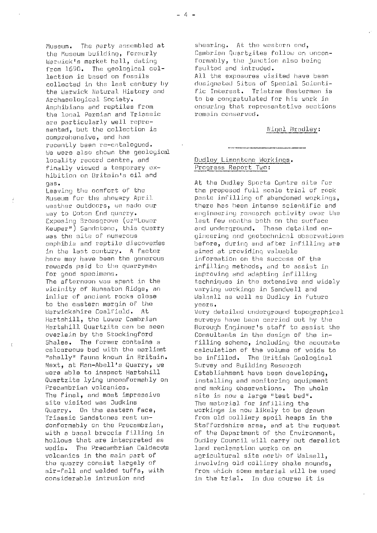Museum. The party assembled at<br>the Museum building, formerly Warwick's market hall, dating from 1690. The geological col-<br>lection is based on fossils the Warwick Natural History and<br>Archaeological Society. the local Permian and Triassic are particularly well reprosented, but the collection is Night Resolution is Night Resolution is Night Resolution is not in the Night Bradley: comprehensive, and has recently been re-catalogued. *to* were also shown the geological locality record centre, and  $\frac{Duddley \ Limes longer}$  and  $frac{dcrkings}{p}$ . finally viewed a temporary exhibition on Britain's oil and<br>gas.

weather outdoors, we made our<br>way to Coton End quarry. Keuper") Sandatone, this quarry<br>was the site of numerous emphibia and reptile discoveries before, during and after in<br>in the last contury. A factor aimed at providing valuable here may have been the generous<br>rewards paid to the quarrymen

vicinity of Nuneaton Ridge, an varying workings in Sandwell and to the eastern margin of the<br>Warwickshire Coalfield. At Next, at Man-Abell's Quarry, we<br>were able to inspect Hartshill The final, and most impressive site is now a large "test bed". site visited was Judkins The material for infilling the wadis. The Precambrian Caldecota land reclamation works on an<br>volcanics in the main part of agricultural site north of Wa

shearing. At the western end, Cambrian Quartzites follow on unconformably, the junction also being<br>faulted and intruded. All the exposures visited have been<br>designated Sites of Special Scienticollected in the last century by a designated Sites of Special Scienti-<br>the Warwick Natural History and a fic Interest. Tristram Besterman is Archaeological Society.<br>Amphibians and reptiles from the consuring that representative section ensuring that representative sections<br>remain conserved.

gas.<br>Leaving the comfort of the state of the Dudley Sports Centre site for<br>the proposed full scale trial of rock Leaving the comfort of the the the proposed full scale trial of rock<br>Museum for the showery April the paste infilling of abandoned workings. paste infilling of abandoned workings,<br>there has been intense scientific and way to Coton End quarry. engineering research activity over the<br>Exposing Sromsgrove (or"Lower – last few months both on the surface last few months both on the surface<br>and underground. These detailed engineering and geotechnical observations<br>before, during and after infilling are in the last century. A factor and a providing valuable<br>here may have been the generous and information on the success of the rewards paid to the quarrymen infilling methods, and to assist in<br>for good specimens. for good specimens.<br>The afternoon was spent in the line techniques in the extensive and the afternoon was spent in the techniques in the extensive and t The afternoon was spent in the  $\begin{array}{ccc} \text{the} & \text{the} & \text{the} \\ \text{vicinity of Number } & \text{Ridge} & \text{an} & \text{varying working} & \text{in} & \text{Sandwell} & \text{and} \end{array}$ Walsall as well as Dudley in future<br>vears.

Warwickshire Coalfield. At Very detailed underground topographical<br>Hartshill, the Lower Cambrian surveys have been carried out by the Hartshill, the Lower Cambrian surveys have been carried out by the Hartshill Quartzite can be seen Borough Engineer's staff to assist the overlain by the Stockingford Consultants in the design of the in-<br>Shales. The former contains a fillino scheme. including the accura Shales. The former contains a filling scheme, including the accurate calcareous bed with the earliest calculation of the volume of voids to calcareous bed with the earliest calculation of the volume of voids to<br>"shelly" fauna known in Britain. be infilled. The British Geological be infilled. The British Geological.<br>Survey and Building Research were able to inspect Hartshill Establishment have been developing,<br>Quartzite lying unconformably on installing and monitoring equipment Quartzite lying unoonformahly on installing and monitoring equipment Precambrian volcanics.<br>The final, and most impressive and making observations. The whole workings is now likely to be drawn Triassic Sandstones rest un- from old colliery spoil heaps in the conformably on the Precambrian, and Staffordshire area, and at the request<br>with a basal breccia filling in a and of the Department of the Environment, with a basal breccia filling in the Oepartment of the Environment,<br>hollows that are interpreted as the Dudley Council will carry out derelic Dudley Council will carry out derelict volcanics in the main part of agricultural site north of Walsall,<br>the quarry consist largely of a sinvolving old colliery shale mounds the quarry consist largely of involving old colliery shale mounds,<br>air-fall and welded tuffs, with from which some material will be use from which some material will be used considerable intrusion and in the trial. In due course it is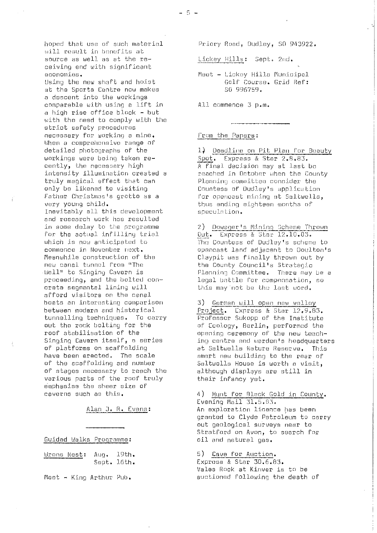$-5 -$ 

hopod that use of such material will result in benefits at source as well as at the receiving end with significant economies. Using the new shaft and hoist

at the Sports Centre now makes a descent into the workings comparable with using a lift in a high rise office black - hut with the need to comply with the strict safety procedures necessary for working a mine. When a comprehensive range of detailed photographs of the workings were being taken recently, the necessary high intensity illumination created a truly magical effect that can only be likened to visiting Father Christmas's grotto as a very young child. Inevitably all this development and research work has resulted in some delay to the programme for the actual infilling trial which is now anticipated to commence in November next. Meanwhile construction of the new canal tunnel from "The Well" to Singing Cavern is proceeding, and the bolted concrete segmental lining will afford visitors on the canal hosts an interesting comparison between modern and historical tunnelling techniques. To carry out the rook bolting for the roof stabilisation of the Singing Cavern itsolf, a series of platforms on scaffolding have been erected, The scale of the scaffolding and number of stages necessary to reach the various parts of the roof truly emphasise the sheer size of caverns such as this.

Alan J. R. Evans :

## Cuided Walks Programme :

Wrens Nest: Aug. 19th. Supt. 16th.

Naet - King Arthur pub.

Priory Road, Dudley, SO 943922.

Lickey Hills: Sept. 2nd.

Meet - Lickey Hills Municipal Golf Course. Grid Ref: 50 990759.

All commence 3 p.m.

### From the Papers:

1.) Deadline on Pit Plan for Beauty Spot. Express & Star 2.8.83. A final decision may at last he reached in October when the County Planning committee consider the Countess of Dudley's application for opencast mining at Saltwells, thus ending eighteen months of speculation.

2) Dowager's Mining Scheme Thrown Uut. Express & Star. 12.10.03. The Countess of Dudley's scheme to opencast land adjacent to Doultnn's Cl.aypit was finally thrown out by the County Council's Strategic Planning Committee. There may be a legal battle for compensation, so this may not be the last word.

3) German will open new valley Project. Express & Star 12.9.83. Professor Sukopp of the Institute of Ecology, Berlin, performed the opening ceremony of the new teaching centre and warden's headquarters at Seltwells Nature Reserve. This smart new building to the rear of Saltwells House is worth a visit, although displays are still in their infancy yet.

4) Hunt for 91ack Gold in County . Evening Mail 31.5.113. An exploration licence has been granted to Clyde Petroleum to carry out geological surveys near to Stratford on Avon, to search for oil and natural gas.

### 5) Cave for Auction.

Express & Star 30.6.83. Vales Rock at Kinver is to he auctioned following the death of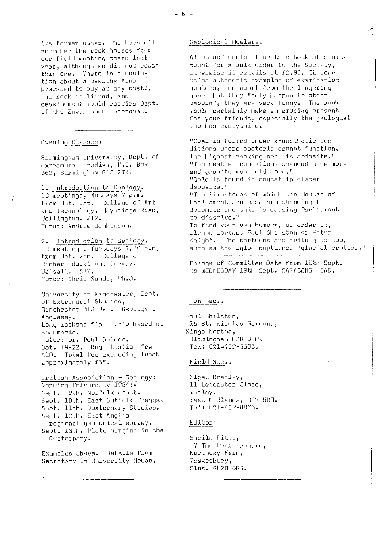j.Ls former owner. Members will remember the rock houses from our field meeting there last year, although we did not reach this one. There *is* speculation about a wealthy Arab prepared to buy at any cost!. The rock is listed, and development would require Dept. of the Environment approval.

## Evening Classes:

Birmingham University, Dopt. Of Extramural Studies, P.O. Box 363, Birmingham 815 2TT.

1. Introduction to Geology. 10 meetings, Mondays 7 p.m. from Oct. let, College of Art and Technology, Heyhridge Road, Wellington. £12. Tutor: Andrew Jenkinson.

2. Introduction to Geology. 10 meetings, Tuesdays 7.30 p.m. from Oct. 2nd. College of Higher Education, Garway, Walsall. £12. Tutor: Chris Sands, Ph.D.

University of Manchester, Dept. of Extramural Studies, Manchester M13 9PL. Geology of Anglesey. Long weekend field trip based at Beaumeris. Tutor: Dr. Paul Selden, Oct. 19-22. Registration fee .1D. Total fee excluding lunch approximately £65.

British Association - Geology: Norwich University 1904:- Sept. 9th. Norfolk coast. Sept. 10th. East Suffolk Craggs, Sept. 11th. Quaternary Studies. Sept. 12th. East Anglia regional geológical survey. Sept. 13th. Plate margins in the Quaternary.

Examples above. Details from Secretary in University House.

#### Geological Howlers.

Allen and Unuin offer this book at a discount for a bulk order to the Society, otherwise it retails at £2.95. It contains authentic examples of examination howlers, and apart from the lingering hope that they "only happen to other people;", they are very funny. The book would certainly make an amusing present for your friends, especially the geologist who has everything.

"Coal is formed under anaesthetic conditions where bacteria cannot function. The highest ranking coal is andesite." "The weather conditions changod once more and granite was laid down." "Gold is found in nougat in placer deposits." "The limostones of which the Houses of Parliament are mado ere changing to dolomite and this is causing Parliament to dissolve." To find your own humour, or order it, please contact Paul Shilston or Peter Knight. The cartoons are quite good Lou, such as the igloo captioned "glacial erotics."

Change of Committee Date from 10th Sept. to WEDNESDAY 19th Sept. SARACENS HEAD.

## }ion Sec.,

Paul Shileton, 16 St. Nicolas Gardens, Kings Norton, Birmingham 838 8TW. Tel: 021-459-3603.

# Field Sec.,

Nigel. Bradley, 11 Leicester Close, Warley, West Midlands, 067 5ND. Tel: 021-429-8833.

#### Editor :

Sheila Pitts, 17 The Pear Orchard, Northwey Farm, Tewkesbury, G1oa. GL20 SRS.